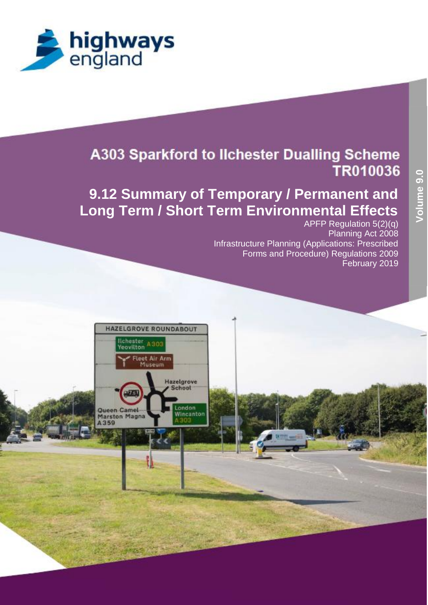

# **9.12 Summary of Temporary / Permanent and Long Term / Short Term Environmental Effects**

APFP Regulation 5(2)(q) Planning Act 2008 Infrastructure Planning (Applications: Prescribed Forms and Procedure) Regulations 2009 February 2019

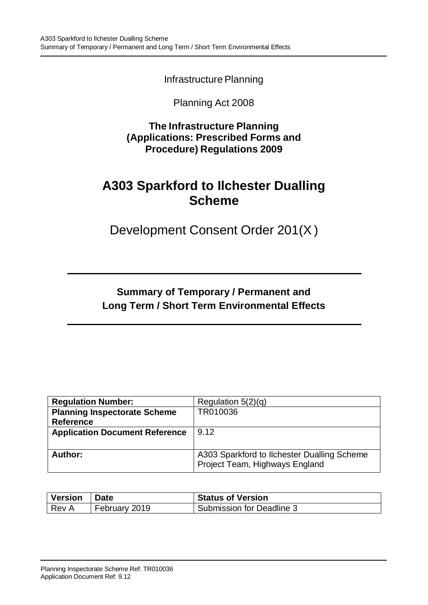Infrastructure Planning

### Planning Act 2008

**The Infrastructure Planning (Applications: Prescribed Forms and Procedure) Regulations 2009**

# **A303 Sparkford to Ilchester Dualling Scheme**

Development Consent Order 201(X)

## **Summary of Temporary / Permanent and Long Term / Short Term Environmental Effects**

| <b>Regulation Number:</b>             | Regulation $5(2)(q)$                                                          |
|---------------------------------------|-------------------------------------------------------------------------------|
| <b>Planning Inspectorate Scheme</b>   | TR010036                                                                      |
| <b>Reference</b>                      |                                                                               |
| <b>Application Document Reference</b> | 9.12                                                                          |
|                                       |                                                                               |
| Author:                               | A303 Sparkford to Ilchester Dualling Scheme<br>Project Team, Highways England |

| <b>Version</b> | <b>Date</b>   | <b>Status of Version</b>  |
|----------------|---------------|---------------------------|
| Rev A          | February 2019 | Submission for Deadline 3 |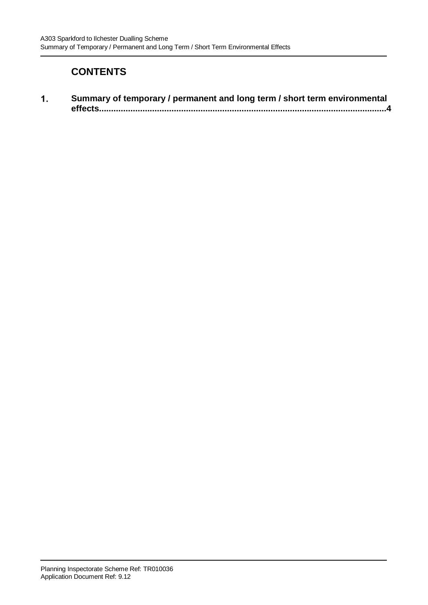### **CONTENTS**

 $\mathbf{1}$ . **[Summary of temporary / permanent and long term / short term environmental](#page-3-0)  [effects.......................................................................................................................4](#page-3-0)**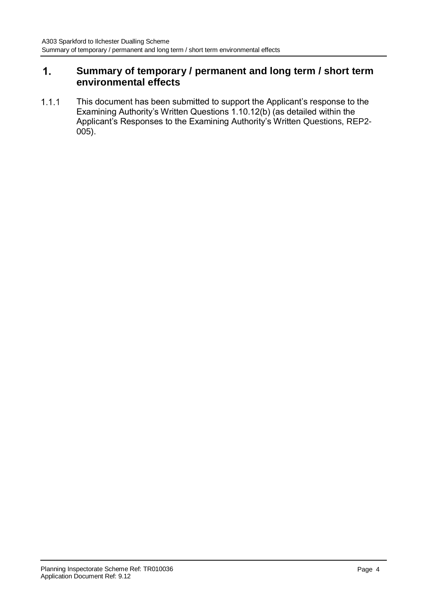#### <span id="page-3-0"></span>**Summary of temporary / permanent and long term / short term**   $1.$ **environmental effects**

This document has been submitted to support the Applicant's response to the  $1.1.1$ Examining Authority's Written Questions 1.10.12(b) (as detailed within the Applicant's Responses to the Examining Authority's Written Questions, REP2- 005).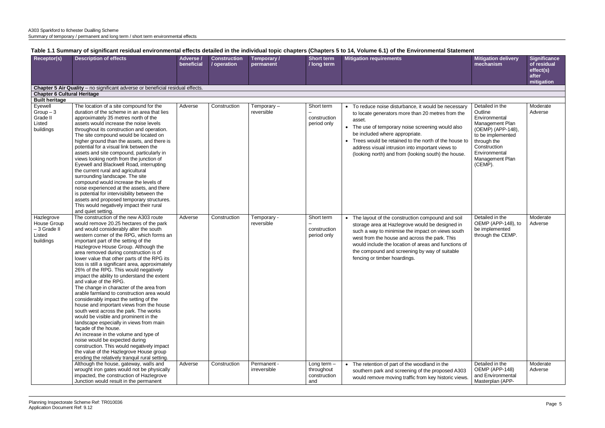| <b>Receptor(s)</b>                                               | <b>Description of effects</b>                                                                                                                                                                                                                                                                                                                                                                                                                                                                                                                                                                                                                                                                                                                                                                                                                                                                                                                                                                                                                                                    | Adverse /  | <b>Construction</b> | Temporary /                 | <b>Short term</b>                                  | <b>Mitigation requirements</b>                                                                                                                                                                                                                                                                                                                                                  | <b>Mitigation delivery</b>                                                                                                                                                             | <b>Significance</b>                             |
|------------------------------------------------------------------|----------------------------------------------------------------------------------------------------------------------------------------------------------------------------------------------------------------------------------------------------------------------------------------------------------------------------------------------------------------------------------------------------------------------------------------------------------------------------------------------------------------------------------------------------------------------------------------------------------------------------------------------------------------------------------------------------------------------------------------------------------------------------------------------------------------------------------------------------------------------------------------------------------------------------------------------------------------------------------------------------------------------------------------------------------------------------------|------------|---------------------|-----------------------------|----------------------------------------------------|---------------------------------------------------------------------------------------------------------------------------------------------------------------------------------------------------------------------------------------------------------------------------------------------------------------------------------------------------------------------------------|----------------------------------------------------------------------------------------------------------------------------------------------------------------------------------------|-------------------------------------------------|
|                                                                  |                                                                                                                                                                                                                                                                                                                                                                                                                                                                                                                                                                                                                                                                                                                                                                                                                                                                                                                                                                                                                                                                                  | beneficial | / operation         | permanent                   | / long term                                        |                                                                                                                                                                                                                                                                                                                                                                                 | mechanism                                                                                                                                                                              | of residual<br>effect(s)<br>after<br>mitigation |
|                                                                  | Chapter 5 Air Quality - no significant adverse or beneficial residual effects.                                                                                                                                                                                                                                                                                                                                                                                                                                                                                                                                                                                                                                                                                                                                                                                                                                                                                                                                                                                                   |            |                     |                             |                                                    |                                                                                                                                                                                                                                                                                                                                                                                 |                                                                                                                                                                                        |                                                 |
| <b>Chapter 6 Cultural Heritage</b>                               |                                                                                                                                                                                                                                                                                                                                                                                                                                                                                                                                                                                                                                                                                                                                                                                                                                                                                                                                                                                                                                                                                  |            |                     |                             |                                                    |                                                                                                                                                                                                                                                                                                                                                                                 |                                                                                                                                                                                        |                                                 |
| <b>Built heritage</b>                                            |                                                                                                                                                                                                                                                                                                                                                                                                                                                                                                                                                                                                                                                                                                                                                                                                                                                                                                                                                                                                                                                                                  |            |                     |                             |                                                    |                                                                                                                                                                                                                                                                                                                                                                                 |                                                                                                                                                                                        |                                                 |
| Eyewell<br>$Group-3$<br>Grade II<br>Listed<br>buildings          | The location of a site compound for the<br>duration of the scheme in an area that lies<br>approximately 35 metres north of the<br>assets would increase the noise levels<br>throughout its construction and operation.<br>The site compound would be located on<br>higher ground than the assets, and there is<br>potential for a visual link between the<br>assets and site compound, particularly in<br>views looking north from the junction of<br>Eyewell and Blackwell Road, interrupting<br>the current rural and agricultural<br>surrounding landscape. The site<br>compound would increase the levels of<br>noise experienced at the assets, and there<br>is potential for intervisibility between the<br>assets and proposed temporary structures.<br>This would negatively impact their rural<br>and quiet setting.                                                                                                                                                                                                                                                    | Adverse    | Construction        | Temporary $-$<br>reversible | Short term<br>construction<br>period only          | • To reduce noise disturbance, it would be necessary<br>to locate generators more than 20 metres from the<br>asset.<br>• The use of temporary noise screening would also<br>be included where appropriate.<br>• Trees would be retained to the north of the house to<br>address visual intrusion into important views to<br>(looking north) and from (looking south) the house. | Detailed in the<br>Outline<br>Environmental<br>Management Plan<br>(OEMP) (APP-148),<br>to be implemented<br>through the<br>Construction<br>Environmental<br>Management Plan<br>(CEMP). | Moderate<br>Adverse                             |
| Hazlegrove<br>House Group<br>- 3 Grade II<br>Listed<br>buildings | The construction of the new A303 route<br>would remove 20.25 hectares of the park<br>and would considerably alter the south<br>western corner of the RPG, which forms an<br>important part of the setting of the<br>Hazlegrove House Group. Although the<br>area removed during construction is of<br>lower value that other parts of the RPG its<br>loss is still a significant area, approximately<br>26% of the RPG. This would negatively<br>impact the ability to understand the extent<br>and value of the RPG.<br>The change in character of the area from<br>arable farmland to construction area would<br>considerably impact the setting of the<br>house and important views from the house<br>south west across the park. The works<br>would be visible and prominent in the<br>landscape especially in views from main<br>façade of the house.<br>An increase in the volume and type of<br>noise would be expected during<br>construction. This would negatively impact<br>the value of the Hazlegrove House group<br>eroding the relatively tranquil rural setting. | Adverse    | Construction        | Temporary -<br>reversible   | Short term<br>construction<br>period only          | • The layout of the construction compound and soil<br>storage area at Hazlegrove would be designed in<br>such a way to minimise the impact on views south<br>west from the house and across the park. This<br>would include the location of areas and functions of<br>the compound and screening by way of suitable<br>fencing or timber hoardings.                             | Detailed in the<br>OEMP (APP-148), to<br>be implemented<br>through the CEMP.                                                                                                           | Moderate<br>Adverse                             |
|                                                                  | Although the house, gateway, walls and<br>wrought iron gates would not be physically<br>impacted, the construction of Hazlegrove<br>Junction would result in the permanent                                                                                                                                                                                                                                                                                                                                                                                                                                                                                                                                                                                                                                                                                                                                                                                                                                                                                                       | Adverse    | Construction        | Permanent -<br>irreversible | Long term $-$<br>throughout<br>construction<br>and | • The retention of part of the woodland in the<br>southern park and screening of the proposed A303<br>would remove moving traffic from key historic views.                                                                                                                                                                                                                      | Detailed in the<br>OEMP (APP-148)<br>and Environmental<br>Masterplan (APP-                                                                                                             | Moderate<br>Adverse                             |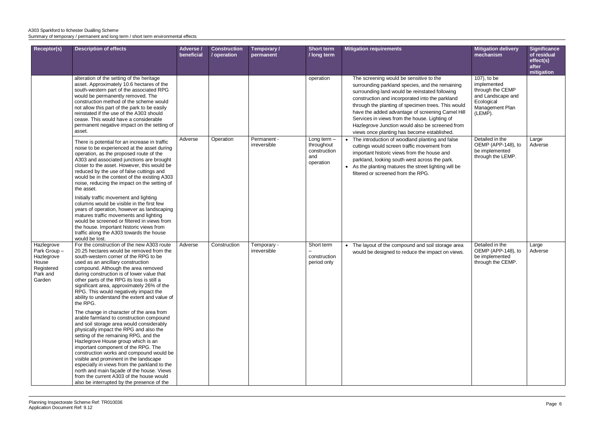| Receptor(s)                                                                          | <b>Description of effects</b>                                                                                                                                                                                                                                                                                                                                                                                                                                                                                                                                                                                                                                                                                                                                                                                                                                                                                                                                                                                                                | Adverse /<br>beneficial | <b>Construction</b><br>/ operation | Temporary /<br>permanent    | <b>Short term</b><br>/ long term                                | <b>Mitigation requirements</b>                                                                                                                                                                                                                                                                                                                                                                                                                               | <b>Mitigation delivery</b><br>mechanism                                                                         | <b>Significance</b><br>of residual<br>effect(s)<br>after<br>mitigation |
|--------------------------------------------------------------------------------------|----------------------------------------------------------------------------------------------------------------------------------------------------------------------------------------------------------------------------------------------------------------------------------------------------------------------------------------------------------------------------------------------------------------------------------------------------------------------------------------------------------------------------------------------------------------------------------------------------------------------------------------------------------------------------------------------------------------------------------------------------------------------------------------------------------------------------------------------------------------------------------------------------------------------------------------------------------------------------------------------------------------------------------------------|-------------------------|------------------------------------|-----------------------------|-----------------------------------------------------------------|--------------------------------------------------------------------------------------------------------------------------------------------------------------------------------------------------------------------------------------------------------------------------------------------------------------------------------------------------------------------------------------------------------------------------------------------------------------|-----------------------------------------------------------------------------------------------------------------|------------------------------------------------------------------------|
|                                                                                      | alteration of the setting of the heritage<br>asset. Approximately 10.6 hectares of the<br>south-western part of the associated RPG<br>would be permanently removed. The<br>construction method of the scheme would<br>not allow this part of the park to be easily<br>reinstated if the use of the A303 should<br>cease. This would have a considerable<br>permanent negative impact on the setting of<br>asset.                                                                                                                                                                                                                                                                                                                                                                                                                                                                                                                                                                                                                             |                         |                                    |                             | operation                                                       | The screening would be sensitive to the<br>surrounding parkland species, and the remaining<br>surrounding land would be reinstated following<br>construction and incorporated into the parkland<br>through the planting of specimen trees. This would<br>have the added advantage of screening Camel Hill<br>Services in views from the house. Lighting of<br>Hazlegrove Junction would also be screened from<br>views once planting has become established. | 107), to be<br>implemented<br>through the CEMP<br>and Landscape and<br>Ecological<br>Management Plan<br>(LEMP). |                                                                        |
|                                                                                      | There is potential for an increase in traffic<br>noise to be experienced at the asset during<br>operation, as the proposed route of the<br>A303 and associated junctions are brought<br>closer to the asset. However, this would be<br>reduced by the use of false cuttings and<br>would be in the context of the existing A303<br>noise, reducing the impact on the setting of<br>the asset.<br>Initially traffic movement and lighting<br>columns would be visible in the first few<br>years of operation, however as landscaping<br>matures traffic movements and lighting<br>would be screened or filtered in views from<br>the house. Important historic views from<br>traffic along the A303 towards the house<br>would be lost.                                                                                                                                                                                                                                                                                                       | Adverse                 | Operation                          | Permanent -<br>irreversible | Long term $-$<br>throughout<br>construction<br>and<br>operation | • The introduction of woodland planting and false<br>cuttings would screen traffic movement from<br>important historic views from the house and<br>parkland, looking south west across the park.<br>• As the planting matures the street lighting will be<br>filtered or screened from the RPG.                                                                                                                                                              | Detailed in the<br>OEMP (APP-148), to<br>be implemented<br>through the LEMP.                                    | Large<br>Adverse                                                       |
| Hazlegrove<br>Park Group-<br>Hazlegrove<br>House<br>Registered<br>Park and<br>Garden | For the construction of the new A303 route<br>20.25 hectares would be removed from the<br>south-western corner of the RPG to be<br>used as an ancillary construction<br>compound. Although the area removed<br>during construction is of lower value that<br>other parts of the RPG its loss is still a<br>significant area, approximately 26% of the<br>RPG. This would negatively impact the<br>ability to understand the extent and value of<br>the RPG.<br>The change in character of the area from<br>arable farmland to construction compound<br>and soil storage area would considerably<br>physically impact the RPG and also the<br>setting of the remaining RPG, and the<br>Hazlegrove House group which is an<br>important component of the RPG. The<br>construction works and compound would be<br>visible and prominent in the landscape<br>especially in views from the parkland to the<br>north and main façade of the house. Views<br>from the current A303 of the house would<br>also be interrupted by the presence of the | Adverse                 | Construction                       | Temporary -<br>irreversible | Short term<br>construction<br>period only                       | • The layout of the compound and soil storage area<br>would be designed to reduce the impact on views.                                                                                                                                                                                                                                                                                                                                                       | Detailed in the<br>OEMP (APP-148), to<br>be implemented<br>through the CEMP.                                    | Large<br>Adverse                                                       |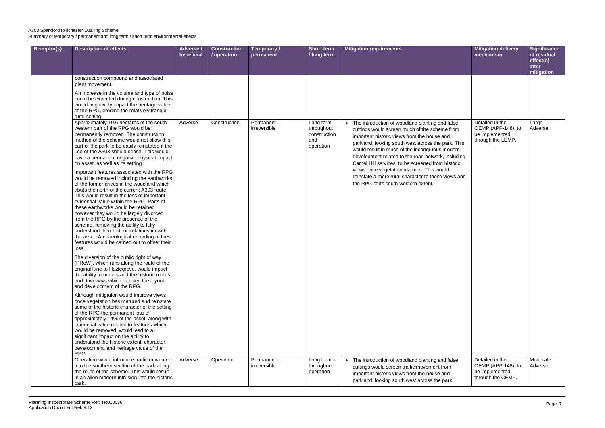| <b>Receptor(s)</b> | <b>Description of effects</b>                                                                                                                                                                                                                                                                                                                                                                                                                                                                                                                                                                                                                                                                                                                                                                                                                                                                                                                                                                                                                                                                                                                                                                                                                                                                     | Adverse /<br>beneficial | <b>Construction</b><br>/ operation | Temporary /<br>permanent    | <b>Short term</b><br>/ long term                                | <b>Mitigation requirements</b>                                                                                                                                                                                                                                                                                                                                                                                                                                                                                   | <b>Mitigation delivery</b><br>mechanism                                      | <b>Significance</b><br>of residual<br>effect(s)<br>after |
|--------------------|---------------------------------------------------------------------------------------------------------------------------------------------------------------------------------------------------------------------------------------------------------------------------------------------------------------------------------------------------------------------------------------------------------------------------------------------------------------------------------------------------------------------------------------------------------------------------------------------------------------------------------------------------------------------------------------------------------------------------------------------------------------------------------------------------------------------------------------------------------------------------------------------------------------------------------------------------------------------------------------------------------------------------------------------------------------------------------------------------------------------------------------------------------------------------------------------------------------------------------------------------------------------------------------------------|-------------------------|------------------------------------|-----------------------------|-----------------------------------------------------------------|------------------------------------------------------------------------------------------------------------------------------------------------------------------------------------------------------------------------------------------------------------------------------------------------------------------------------------------------------------------------------------------------------------------------------------------------------------------------------------------------------------------|------------------------------------------------------------------------------|----------------------------------------------------------|
|                    | construction compound and associated<br>plant movement.<br>An increase in the volume and type of noise<br>could be expected during construction. This<br>would negatively impact the heritage value                                                                                                                                                                                                                                                                                                                                                                                                                                                                                                                                                                                                                                                                                                                                                                                                                                                                                                                                                                                                                                                                                               |                         |                                    |                             |                                                                 |                                                                                                                                                                                                                                                                                                                                                                                                                                                                                                                  |                                                                              | mitigation                                               |
|                    | of the RPG, eroding the relatively tranquil<br>rural setting.<br>Approximately 10.6 hectares of the south-<br>western part of the RPG would be<br>permanently removed. The construction<br>method of the scheme would not allow this<br>part of the park to be easily reinstated if the<br>use of the A303 should cease. This would<br>have a permanent negative physical impact<br>on asset, as well as its setting.<br>Important features associated with the RPG<br>would be removed including the earthworks<br>of the former drives in the woodland which<br>abuts the north of the current A303 route.<br>This would result in the loss of important<br>evidential value within the RPG. Parts of<br>these earthworks would be retained<br>however they would be largely divorced<br>from the RPG by the presence of the<br>scheme, removing the ability to fully<br>understand their historic relationship with<br>the asset. Archaeological recording of these<br>features would be carried out to offset their<br>loss.<br>The diversion of the public right of way<br>(PRoW), which runs along the route of the<br>original lane to Hazlegrove, would impact<br>the ability to understand the historic routes<br>and driveways which dictated the layout<br>and development of the RPG. | Adverse                 | Construction                       | Permanent -<br>irreversible | Long term $-$<br>throughout<br>construction<br>and<br>operation | • The introduction of woodland planting and false<br>cuttings would screen much of the scheme from<br>important historic views from the house and<br>parkland, looking south west across the park. This<br>would result in much of the incongruous modern<br>development related to the road network, including<br>Camel Hill services, to be screened from historic<br>views once vegetation matures. This would<br>reinstate a more rural character to these views and<br>the RPG at its south-western extent. | Detailed in the<br>OEMP (APP-148), to<br>be implemented<br>through the LEMP. | Large<br>Adverse                                         |
|                    | Although mitigation would improve views<br>once vegetation has matured and reinstate<br>some of the historic character of the setting<br>of the RPG the permanent loss of<br>approximately 14% of the asset, along with<br>evidential value related to features which<br>would be removed, would lead to a<br>significant impact on the ability to<br>understand the historic extent, character,<br>development, and heritage value of the<br>RPG.                                                                                                                                                                                                                                                                                                                                                                                                                                                                                                                                                                                                                                                                                                                                                                                                                                                |                         |                                    |                             |                                                                 |                                                                                                                                                                                                                                                                                                                                                                                                                                                                                                                  |                                                                              |                                                          |
|                    | Operation would introduce traffic movement<br>into the southern section of the park along<br>the route of the scheme. This would result<br>in an alien modern intrusion into the historic<br>park.                                                                                                                                                                                                                                                                                                                                                                                                                                                                                                                                                                                                                                                                                                                                                                                                                                                                                                                                                                                                                                                                                                | Adverse                 | Operation                          | Permanent -<br>irreversible | Long term $-$<br>throughout<br>operation                        | • The introduction of woodland planting and false<br>cuttings would screen traffic movement from<br>important historic views from the house and<br>parkland, looking south west across the park.                                                                                                                                                                                                                                                                                                                 | Detailed in the<br>OEMP (APP-148), to<br>be implemented<br>through the CEMP. | Moderate<br>Adverse                                      |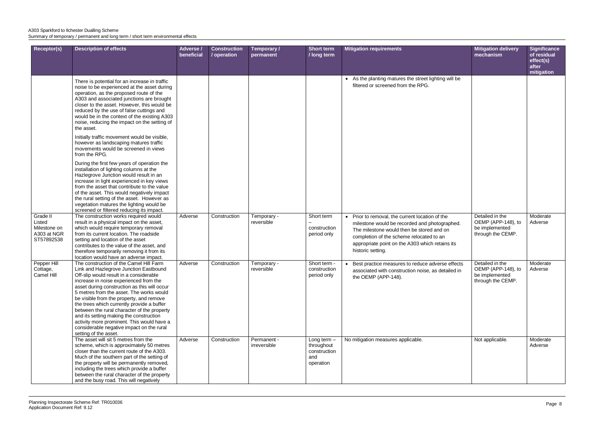| <b>Receptor(s)</b>                                              | <b>Description of effects</b>                                                                                                                                                                                                                                                                                                                                                                                                                                                                                                                                              | Adverse /<br>beneficial | <b>Construction</b><br>/ operation | Temporary /<br>permanent    | <b>Short term</b><br>/ long term                              | <b>Mitigation requirements</b>                                                                                                                                                                                                                                    | <b>Mitigation delivery</b><br>mechanism                                      | <b>Significance</b><br>of residual<br>effect(s)<br>after<br>mitigation |
|-----------------------------------------------------------------|----------------------------------------------------------------------------------------------------------------------------------------------------------------------------------------------------------------------------------------------------------------------------------------------------------------------------------------------------------------------------------------------------------------------------------------------------------------------------------------------------------------------------------------------------------------------------|-------------------------|------------------------------------|-----------------------------|---------------------------------------------------------------|-------------------------------------------------------------------------------------------------------------------------------------------------------------------------------------------------------------------------------------------------------------------|------------------------------------------------------------------------------|------------------------------------------------------------------------|
|                                                                 | There is potential for an increase in traffic<br>noise to be experienced at the asset during<br>operation, as the proposed route of the<br>A303 and associated junctions are brought<br>closer to the asset. However, this would be<br>reduced by the use of false cuttings and<br>would be in the context of the existing A303<br>noise, reducing the impact on the setting of<br>the asset.                                                                                                                                                                              |                         |                                    |                             |                                                               | • As the planting matures the street lighting will be<br>filtered or screened from the RPG.                                                                                                                                                                       |                                                                              |                                                                        |
|                                                                 | Initially traffic movement would be visible,<br>however as landscaping matures traffic<br>movements would be screened in views<br>from the RPG.                                                                                                                                                                                                                                                                                                                                                                                                                            |                         |                                    |                             |                                                               |                                                                                                                                                                                                                                                                   |                                                                              |                                                                        |
|                                                                 | During the first few years of operation the<br>installation of lighting columns at the<br>Hazlegrove Junction would result in an<br>increase in light experienced in key views<br>from the asset that contribute to the value<br>of the asset. This would negatively impact<br>the rural setting of the asset. However as<br>vegetation matures the lighting would be<br>screened or filtered reducing its impact.                                                                                                                                                         |                         |                                    |                             |                                                               |                                                                                                                                                                                                                                                                   |                                                                              |                                                                        |
| Grade II<br>Listed<br>Milestone on<br>A303 at NGR<br>ST57892538 | The construction works required would<br>result in a physical impact on the asset,<br>which would require temporary removal<br>from its current location. The roadside<br>setting and location of the asset<br>contributes to the value of the asset, and<br>therefore temporarily removing it from its<br>location would have an adverse impact.                                                                                                                                                                                                                          | Adverse                 | Construction                       | Temporary -<br>reversible   | Short term<br>construction<br>period only                     | • Prior to removal, the current location of the<br>milestone would be recorded and photographed.<br>The milestone would then be stored and on<br>completion of the scheme relocated to an<br>appropriate point on the A303 which retains its<br>historic setting. | Detailed in the<br>OEMP (APP-148), to<br>be implemented<br>through the CEMP. | Moderate<br>Adverse                                                    |
| Pepper Hill<br>Cottage,<br>Camel Hill                           | The construction of the Camel Hill Farm<br>Link and Hazlegrove Junction Eastbound<br>Off-slip would result in a considerable<br>increase in noise experienced from the<br>asset during construction as this will occur<br>5 metres from the asset. The works would<br>be visible from the property, and remove<br>the trees which currently provide a buffer<br>between the rural character of the property<br>and its setting making the construction<br>activity more prominent. This would have a<br>considerable negative impact on the rural<br>setting of the asset. | Adverse                 | Construction                       | Temporary -<br>reversible   | Short term -<br>construction<br>period only                   | Best practice measures to reduce adverse effects<br>associated with construction noise, as detailed in<br>the OEMP (APP-148).                                                                                                                                     | Detailed in the<br>OEMP (APP-148), to<br>be implemented<br>through the CEMP. | Moderate<br>Adverse                                                    |
|                                                                 | The asset will sit 5 metres from the<br>scheme, which is approximately 50 metres<br>closer than the current route of the A303.<br>Much of the southern part of the setting of<br>the property will be permanently removed,<br>including the trees which provide a buffer<br>between the rural character of the property<br>and the busy road. This will negatively                                                                                                                                                                                                         | Adverse                 | Construction                       | Permanent -<br>irreversible | Long term -<br>throughout<br>construction<br>and<br>operation | No mitigation measures applicable.                                                                                                                                                                                                                                | Not applicable.                                                              | Moderate<br>Adverse                                                    |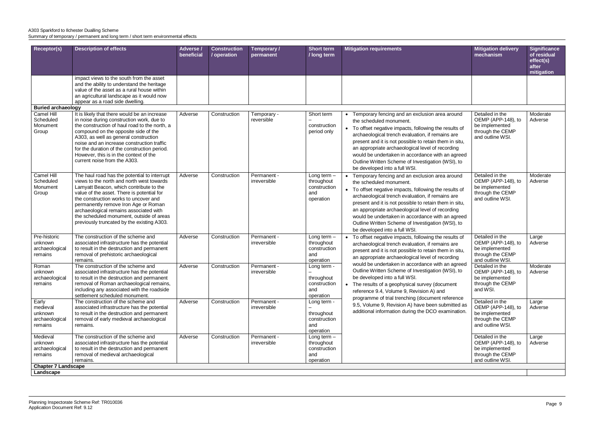| after<br>mitigation<br>impact views to the south from the asset<br>and the ability to understand the heritage<br>value of the asset as a rural house within<br>an agricultural landscape as it would now<br>appear as a road side dwelling.<br><b>Buried archaeology</b><br>Camel Hill<br>It is likely that there would be an increase<br>Detailed in the<br>Moderate<br>Construction<br>Temporary -<br>Short term<br>Adverse<br>Temporary fencing and an exclusion area around<br>Scheduled<br>in noise during construction work, due to<br>OEMP (APP-148), to<br>Adverse<br>reversible<br>the scheduled monument.<br>the construction of haul road to the north, a<br>Monument<br>be implemented<br>construction<br>• To offset negative impacts, following the results of<br>Group<br>compound on the opposite side of the<br>through the CEMP<br>period only<br>archaeological trench evaluation, if remains are<br>A303, as well as general construction<br>and outline WSI.<br>present and it is not possible to retain them in situ,<br>noise and an increase construction traffic<br>an appropriate archaeological level of recording<br>for the duration of the construction period.<br>However, this is in the context of the<br>would be undertaken in accordance with an agreed<br>current noise from the A303.<br>Outline Written Scheme of Investigation (WSI), to<br>be developed into a full WSI.<br>Camel Hill<br>Detailed in the<br>The haul road has the potential to interrupt<br>Moderate<br>Adverse<br>Construction<br>Permanent -<br>Long term $-$<br>Temporary fencing and an exclusion area around<br>Scheduled<br>views to the north and north west towards<br>OEMP (APP-148), to<br>irreversible<br>throughout<br>Adverse<br>the scheduled monument.<br>Monument<br>Lamyatt Beacon, which contribute to the<br>be implemented<br>construction<br>• To offset negative impacts, following the results of<br>value of the asset. There is potential for<br>through the CEMP<br>Group<br>and<br>archaeological trench evaluation, if remains are<br>the construction works to uncover and<br>and outline WSI.<br>operation<br>present and it is not possible to retain them in situ,<br>permanently remove Iron Age or Roman<br>an appropriate archaeological level of recording<br>archaeological remains associated with<br>the scheduled monument, outside of areas<br>would be undertaken in accordance with an agreed<br>previously truncated by the existing A303.<br>Outline Written Scheme of Investigation (WSI), to<br>be developed into a full WSI.<br>Pre-historic<br>The construction of the scheme and<br>Detailed in the<br>Adverse<br>Permanent -<br>Construction<br>Long term $-$<br>Large<br>• To offset negative impacts, following the results of<br>associated infrastructure has the potential<br>OEMP (APP-148), to<br>unknown<br>irreversible<br>throughout<br>Adverse<br>archaeological trench evaluation, if remains are<br>to result in the destruction and permanent<br>be implemented<br>archaeological<br>construction<br>present and it is not possible to retain them in situ,<br>through the CEMP<br>removal of prehistoric archaeological<br>and<br>remains<br>an appropriate archaeological level of recording<br>remains.<br>and outline WSI.<br>operation<br>would be undertaken in accordance with an agreed<br>Detailed in the<br>Roman<br>The construction of the scheme and<br>Moderate<br>Adverse<br>Construction<br>Permanent -<br>Long term -<br>Outline Written Scheme of Investigation (WSI), to<br>associated infrastructure has the potential<br>irreversible<br>OEMP (APP-148), to<br>Adverse<br>unknown<br>be developed into a full WSI.<br>be implemented<br>archaeological<br>to result in the destruction and permanent<br>throughout<br>removal of Roman archaeological remains,<br>through the CEMP<br>remains<br>construction<br>• The results of a geophysical survey (document<br>and WSI.<br>including any associated with the roadside<br>and<br>reference 9.4, Volume 9, Revision A) and<br>settlement scheduled monument.<br>operation<br>programme of trial trenching (document reference<br>The construction of the scheme and<br>Early<br>Adverse<br>Detailed in the<br>Construction<br>Permanent -<br>Large<br>Long term -<br>9.5, Volume 9, Revision A) have been submitted as<br>OEMP (APP-148), to<br>medieval<br>associated infrastructure has the potential<br>irreversible<br>Adverse<br>additional information during the DCO examination.<br>be implemented<br>unknown<br>to result in the destruction and permanent<br>throughout<br>removal of early medieval archaeological<br>through the CEMP<br>construction<br>archaeological<br>and outline WSI.<br>and<br>remains<br>remains.<br>operation<br>The construction of the scheme and<br>Detailed in the<br>Medieval<br>Adverse<br>Construction<br>Permanent -<br>Long term $-$<br>Large<br>OEMP (APP-148), to<br>associated infrastructure has the potential<br>irreversible<br>unknown<br>throughout<br>Adverse<br>to result in the destruction and permanent<br>be implemented<br>archaeological<br>construction<br>removal of medieval archaeological<br>and<br>through the CEMP<br>remains<br>and outline WSI.<br>remains.<br>operation<br><b>Chapter 7 Landscape</b> | <b>Receptor(s)</b> | <b>Description of effects</b> | Adverse<br>beneficial | <b>Construction</b><br>/ operation | Temporary /<br>permanent | <b>Short term</b><br>/ long term | <b>Mitigation requirements</b> | <b>Mitigation delivery</b><br>mechanism | <b>Significance</b><br>of residual |
|----------------------------------------------------------------------------------------------------------------------------------------------------------------------------------------------------------------------------------------------------------------------------------------------------------------------------------------------------------------------------------------------------------------------------------------------------------------------------------------------------------------------------------------------------------------------------------------------------------------------------------------------------------------------------------------------------------------------------------------------------------------------------------------------------------------------------------------------------------------------------------------------------------------------------------------------------------------------------------------------------------------------------------------------------------------------------------------------------------------------------------------------------------------------------------------------------------------------------------------------------------------------------------------------------------------------------------------------------------------------------------------------------------------------------------------------------------------------------------------------------------------------------------------------------------------------------------------------------------------------------------------------------------------------------------------------------------------------------------------------------------------------------------------------------------------------------------------------------------------------------------------------------------------------------------------------------------------------------------------------------------------------------------------------------------------------------------------------------------------------------------------------------------------------------------------------------------------------------------------------------------------------------------------------------------------------------------------------------------------------------------------------------------------------------------------------------------------------------------------------------------------------------------------------------------------------------------------------------------------------------------------------------------------------------------------------------------------------------------------------------------------------------------------------------------------------------------------------------------------------------------------------------------------------------------------------------------------------------------------------------------------------------------------------------------------------------------------------------------------------------------------------------------------------------------------------------------------------------------------------------------------------------------------------------------------------------------------------------------------------------------------------------------------------------------------------------------------------------------------------------------------------------------------------------------------------------------------------------------------------------------------------------------------------------------------------------------------------------------------------------------------------------------------------------------------------------------------------------------------------------------------------------------------------------------------------------------------------------------------------------------------------------------------------------------------------------------------------------------------------------------------------------------------------------------------------------------------------------------------------------------------------------------------------------------------------------------------------------------------------------------------------------------------------------------------------------------------------------------------------------------------------------------------------------------------------------------------------------------------------------------------------------------------------------------------------------------------------------------------------------------------------------------------------------------------------------------------------------------------------------------------------------------------------------------------------------------------------------------------------------------------------------------------------------------------------------------------------------------------------------------------------------------------------------------------------------------------------------------------------------------------------------------------------------------------------------------|--------------------|-------------------------------|-----------------------|------------------------------------|--------------------------|----------------------------------|--------------------------------|-----------------------------------------|------------------------------------|
|                                                                                                                                                                                                                                                                                                                                                                                                                                                                                                                                                                                                                                                                                                                                                                                                                                                                                                                                                                                                                                                                                                                                                                                                                                                                                                                                                                                                                                                                                                                                                                                                                                                                                                                                                                                                                                                                                                                                                                                                                                                                                                                                                                                                                                                                                                                                                                                                                                                                                                                                                                                                                                                                                                                                                                                                                                                                                                                                                                                                                                                                                                                                                                                                                                                                                                                                                                                                                                                                                                                                                                                                                                                                                                                                                                                                                                                                                                                                                                                                                                                                                                                                                                                                                                                                                                                                                                                                                                                                                                                                                                                                                                                                                                                                                                                                                                                                                                                                                                                                                                                                                                                                                                                                                                                                                                                                  |                    |                               |                       |                                    |                          |                                  |                                |                                         | effect(s)                          |
|                                                                                                                                                                                                                                                                                                                                                                                                                                                                                                                                                                                                                                                                                                                                                                                                                                                                                                                                                                                                                                                                                                                                                                                                                                                                                                                                                                                                                                                                                                                                                                                                                                                                                                                                                                                                                                                                                                                                                                                                                                                                                                                                                                                                                                                                                                                                                                                                                                                                                                                                                                                                                                                                                                                                                                                                                                                                                                                                                                                                                                                                                                                                                                                                                                                                                                                                                                                                                                                                                                                                                                                                                                                                                                                                                                                                                                                                                                                                                                                                                                                                                                                                                                                                                                                                                                                                                                                                                                                                                                                                                                                                                                                                                                                                                                                                                                                                                                                                                                                                                                                                                                                                                                                                                                                                                                                                  |                    |                               |                       |                                    |                          |                                  |                                |                                         |                                    |
|                                                                                                                                                                                                                                                                                                                                                                                                                                                                                                                                                                                                                                                                                                                                                                                                                                                                                                                                                                                                                                                                                                                                                                                                                                                                                                                                                                                                                                                                                                                                                                                                                                                                                                                                                                                                                                                                                                                                                                                                                                                                                                                                                                                                                                                                                                                                                                                                                                                                                                                                                                                                                                                                                                                                                                                                                                                                                                                                                                                                                                                                                                                                                                                                                                                                                                                                                                                                                                                                                                                                                                                                                                                                                                                                                                                                                                                                                                                                                                                                                                                                                                                                                                                                                                                                                                                                                                                                                                                                                                                                                                                                                                                                                                                                                                                                                                                                                                                                                                                                                                                                                                                                                                                                                                                                                                                                  |                    |                               |                       |                                    |                          |                                  |                                |                                         |                                    |
|                                                                                                                                                                                                                                                                                                                                                                                                                                                                                                                                                                                                                                                                                                                                                                                                                                                                                                                                                                                                                                                                                                                                                                                                                                                                                                                                                                                                                                                                                                                                                                                                                                                                                                                                                                                                                                                                                                                                                                                                                                                                                                                                                                                                                                                                                                                                                                                                                                                                                                                                                                                                                                                                                                                                                                                                                                                                                                                                                                                                                                                                                                                                                                                                                                                                                                                                                                                                                                                                                                                                                                                                                                                                                                                                                                                                                                                                                                                                                                                                                                                                                                                                                                                                                                                                                                                                                                                                                                                                                                                                                                                                                                                                                                                                                                                                                                                                                                                                                                                                                                                                                                                                                                                                                                                                                                                                  |                    |                               |                       |                                    |                          |                                  |                                |                                         |                                    |
|                                                                                                                                                                                                                                                                                                                                                                                                                                                                                                                                                                                                                                                                                                                                                                                                                                                                                                                                                                                                                                                                                                                                                                                                                                                                                                                                                                                                                                                                                                                                                                                                                                                                                                                                                                                                                                                                                                                                                                                                                                                                                                                                                                                                                                                                                                                                                                                                                                                                                                                                                                                                                                                                                                                                                                                                                                                                                                                                                                                                                                                                                                                                                                                                                                                                                                                                                                                                                                                                                                                                                                                                                                                                                                                                                                                                                                                                                                                                                                                                                                                                                                                                                                                                                                                                                                                                                                                                                                                                                                                                                                                                                                                                                                                                                                                                                                                                                                                                                                                                                                                                                                                                                                                                                                                                                                                                  |                    |                               |                       |                                    |                          |                                  |                                |                                         |                                    |
|                                                                                                                                                                                                                                                                                                                                                                                                                                                                                                                                                                                                                                                                                                                                                                                                                                                                                                                                                                                                                                                                                                                                                                                                                                                                                                                                                                                                                                                                                                                                                                                                                                                                                                                                                                                                                                                                                                                                                                                                                                                                                                                                                                                                                                                                                                                                                                                                                                                                                                                                                                                                                                                                                                                                                                                                                                                                                                                                                                                                                                                                                                                                                                                                                                                                                                                                                                                                                                                                                                                                                                                                                                                                                                                                                                                                                                                                                                                                                                                                                                                                                                                                                                                                                                                                                                                                                                                                                                                                                                                                                                                                                                                                                                                                                                                                                                                                                                                                                                                                                                                                                                                                                                                                                                                                                                                                  |                    |                               |                       |                                    |                          |                                  |                                |                                         |                                    |
|                                                                                                                                                                                                                                                                                                                                                                                                                                                                                                                                                                                                                                                                                                                                                                                                                                                                                                                                                                                                                                                                                                                                                                                                                                                                                                                                                                                                                                                                                                                                                                                                                                                                                                                                                                                                                                                                                                                                                                                                                                                                                                                                                                                                                                                                                                                                                                                                                                                                                                                                                                                                                                                                                                                                                                                                                                                                                                                                                                                                                                                                                                                                                                                                                                                                                                                                                                                                                                                                                                                                                                                                                                                                                                                                                                                                                                                                                                                                                                                                                                                                                                                                                                                                                                                                                                                                                                                                                                                                                                                                                                                                                                                                                                                                                                                                                                                                                                                                                                                                                                                                                                                                                                                                                                                                                                                                  |                    |                               |                       |                                    |                          |                                  |                                |                                         |                                    |
|                                                                                                                                                                                                                                                                                                                                                                                                                                                                                                                                                                                                                                                                                                                                                                                                                                                                                                                                                                                                                                                                                                                                                                                                                                                                                                                                                                                                                                                                                                                                                                                                                                                                                                                                                                                                                                                                                                                                                                                                                                                                                                                                                                                                                                                                                                                                                                                                                                                                                                                                                                                                                                                                                                                                                                                                                                                                                                                                                                                                                                                                                                                                                                                                                                                                                                                                                                                                                                                                                                                                                                                                                                                                                                                                                                                                                                                                                                                                                                                                                                                                                                                                                                                                                                                                                                                                                                                                                                                                                                                                                                                                                                                                                                                                                                                                                                                                                                                                                                                                                                                                                                                                                                                                                                                                                                                                  |                    |                               |                       |                                    |                          |                                  |                                |                                         |                                    |
|                                                                                                                                                                                                                                                                                                                                                                                                                                                                                                                                                                                                                                                                                                                                                                                                                                                                                                                                                                                                                                                                                                                                                                                                                                                                                                                                                                                                                                                                                                                                                                                                                                                                                                                                                                                                                                                                                                                                                                                                                                                                                                                                                                                                                                                                                                                                                                                                                                                                                                                                                                                                                                                                                                                                                                                                                                                                                                                                                                                                                                                                                                                                                                                                                                                                                                                                                                                                                                                                                                                                                                                                                                                                                                                                                                                                                                                                                                                                                                                                                                                                                                                                                                                                                                                                                                                                                                                                                                                                                                                                                                                                                                                                                                                                                                                                                                                                                                                                                                                                                                                                                                                                                                                                                                                                                                                                  |                    |                               |                       |                                    |                          |                                  |                                |                                         |                                    |
|                                                                                                                                                                                                                                                                                                                                                                                                                                                                                                                                                                                                                                                                                                                                                                                                                                                                                                                                                                                                                                                                                                                                                                                                                                                                                                                                                                                                                                                                                                                                                                                                                                                                                                                                                                                                                                                                                                                                                                                                                                                                                                                                                                                                                                                                                                                                                                                                                                                                                                                                                                                                                                                                                                                                                                                                                                                                                                                                                                                                                                                                                                                                                                                                                                                                                                                                                                                                                                                                                                                                                                                                                                                                                                                                                                                                                                                                                                                                                                                                                                                                                                                                                                                                                                                                                                                                                                                                                                                                                                                                                                                                                                                                                                                                                                                                                                                                                                                                                                                                                                                                                                                                                                                                                                                                                                                                  | Landscape          |                               |                       |                                    |                          |                                  |                                |                                         |                                    |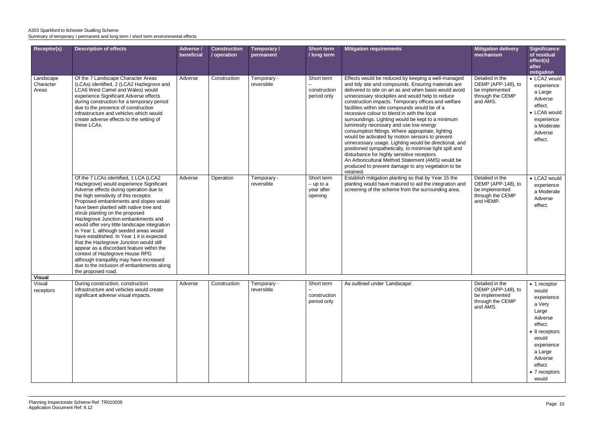| <b>Receptor(s)</b>              | <b>Description of effects</b>                                                                                                                                                                                                                                                                                                                                                                                                                                                                                                                                                                                                                                                                                          | Adverse /<br>beneficial | <b>Construction</b><br>/ operation | Temporary /<br>permanent  | Short term<br>/ long term                          | <b>Mitigation requirements</b>                                                                                                                                                                                                                                                                                                                                                                                                                                                                                                                                                                                                                                                                                                                                                                                                                                                   | <b>Mitigation delivery</b><br>mechanism                                                  | Significance<br>of residual<br>effect(s)<br>after<br>mitigation                                                                                                                       |
|---------------------------------|------------------------------------------------------------------------------------------------------------------------------------------------------------------------------------------------------------------------------------------------------------------------------------------------------------------------------------------------------------------------------------------------------------------------------------------------------------------------------------------------------------------------------------------------------------------------------------------------------------------------------------------------------------------------------------------------------------------------|-------------------------|------------------------------------|---------------------------|----------------------------------------------------|----------------------------------------------------------------------------------------------------------------------------------------------------------------------------------------------------------------------------------------------------------------------------------------------------------------------------------------------------------------------------------------------------------------------------------------------------------------------------------------------------------------------------------------------------------------------------------------------------------------------------------------------------------------------------------------------------------------------------------------------------------------------------------------------------------------------------------------------------------------------------------|------------------------------------------------------------------------------------------|---------------------------------------------------------------------------------------------------------------------------------------------------------------------------------------|
| Landscape<br>Character<br>Areas | Of the 7 Landscape Character Areas<br>(LCAs) identified, 2 (LCA2 Hazlegrove and<br>LCA6 West Camel and Wales) would<br>experience Significant Adverse effects<br>during construction for a temporary period<br>due to the presence of construction<br>infrastructure and vehicles which would<br>create adverse effects to the setting of<br>these LCAs.                                                                                                                                                                                                                                                                                                                                                               | Adverse                 | Construction                       | Temporary -<br>reversible | Short term<br>construction<br>period only          | Effects would be reduced by keeping a well-managed<br>and tidy site and compounds. Ensuring materials are<br>delivered to site on an as and when basis would avoid<br>unnecessary stockpiles and would help to reduce<br>construction impacts. Temporary offices and welfare<br>facilities within site compounds would be of a<br>recessive colour to blend in with the local<br>surroundings. Lighting would be kept to a minimum<br>luminosity necessary and use low energy<br>consumption fittings. Where appropriate, lighting<br>would be activated by motion sensors to prevent<br>unnecessary usage. Lighting would be directional, and<br>positioned sympathetically, to minimise light spill and<br>disturbance for highly sensitive receptors.<br>An Arboricultural Method Statement (AMS) would be<br>produced to prevent damage to any vegetation to be<br>retained. | Detailed in the<br>OEMP (APP-148), to<br>be implemented<br>through the CEMP<br>and AMS.  | • LCA2 would<br>experience<br>a Large<br>Adverse<br>effect.<br>• LCA6 would<br>experience<br>a Moderate<br>Adverse<br>effect.                                                         |
|                                 | Of the 7 LCAs identified, 1 LCA (LCA2<br>Hazlegrove) would experience Significant<br>Adverse effects during operation due to<br>the high sensitivity of this receptor.<br>Proposed embankments and slopes would<br>have been planted with native tree and<br>shrub planting on the proposed<br>Hazlegrove Junction embankments and<br>would offer very little landscape integration<br>in Year 1, although seeded areas would<br>have established. In Year 1 it is expected<br>that the Hazlegrove Junction would still<br>appear as a discordant feature within the<br>context of Hazlegrove House RPG<br>although tranquillity may have increased<br>due to the inclusion of embankments along<br>the proposed road. | Adverse                 | Operation                          | Temporary -<br>reversible | Short term<br>$-$ up to a<br>year after<br>opening | Establish mitigation planting so that by Year 15 the<br>planting would have matured to aid the integration and<br>screening of the scheme from the surrounding area.                                                                                                                                                                                                                                                                                                                                                                                                                                                                                                                                                                                                                                                                                                             | Detailed in the<br>OEMP (APP-148), to<br>be implemented<br>through the CEMP<br>and HEMP. | • LCA2 would<br>experience<br>a Moderate<br>Adverse<br>effect.                                                                                                                        |
| <b>Visual</b>                   |                                                                                                                                                                                                                                                                                                                                                                                                                                                                                                                                                                                                                                                                                                                        |                         |                                    |                           |                                                    |                                                                                                                                                                                                                                                                                                                                                                                                                                                                                                                                                                                                                                                                                                                                                                                                                                                                                  |                                                                                          |                                                                                                                                                                                       |
| Visual<br>receptors             | During construction, construction<br>infrastructure and vehicles would create<br>significant adverse visual impacts.                                                                                                                                                                                                                                                                                                                                                                                                                                                                                                                                                                                                   | Adverse                 | Construction                       | Temporary -<br>reversible | Short term<br>construction<br>period only          | As outlined under 'Landscape'.                                                                                                                                                                                                                                                                                                                                                                                                                                                                                                                                                                                                                                                                                                                                                                                                                                                   | Detailed in the<br>OEMP (APP-148), to<br>be implemented<br>through the CEMP<br>and AMS.  | $\bullet$ 1 receptor<br>would<br>experience<br>a Very<br>Large<br>Adverse<br>effect.<br>8 receptors<br>would<br>experience<br>a Large<br>Adverse<br>effect.<br>• 7 receptors<br>would |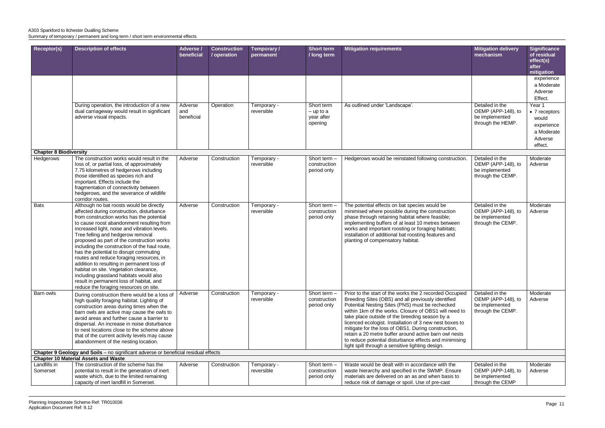| Receptor(s)                   | <b>Description of effects</b>                                                                                                                                                                                                                                                                                                                                                                                                                                                                                                                                                                                                                                                      | Adverse /                    | <b>Construction</b> | Temporary /               | <b>Short term</b>                                  | <b>Mitigation requirements</b>                                                                                                                                                                                                                                                                                                                                                                                                                                                                                                                                       | <b>Mitigation delivery</b>                                                   | <b>Significance</b>                                                                |
|-------------------------------|------------------------------------------------------------------------------------------------------------------------------------------------------------------------------------------------------------------------------------------------------------------------------------------------------------------------------------------------------------------------------------------------------------------------------------------------------------------------------------------------------------------------------------------------------------------------------------------------------------------------------------------------------------------------------------|------------------------------|---------------------|---------------------------|----------------------------------------------------|----------------------------------------------------------------------------------------------------------------------------------------------------------------------------------------------------------------------------------------------------------------------------------------------------------------------------------------------------------------------------------------------------------------------------------------------------------------------------------------------------------------------------------------------------------------------|------------------------------------------------------------------------------|------------------------------------------------------------------------------------|
|                               |                                                                                                                                                                                                                                                                                                                                                                                                                                                                                                                                                                                                                                                                                    | beneficial                   | / operation         | permanent                 | / long term                                        |                                                                                                                                                                                                                                                                                                                                                                                                                                                                                                                                                                      | mechanism                                                                    | of residual<br>effect(s)<br>after<br>mitigation                                    |
|                               |                                                                                                                                                                                                                                                                                                                                                                                                                                                                                                                                                                                                                                                                                    |                              |                     |                           |                                                    |                                                                                                                                                                                                                                                                                                                                                                                                                                                                                                                                                                      |                                                                              | experience<br>a Moderate<br>Adverse<br>Effect.                                     |
|                               | During operation, the introduction of a new<br>dual carriageway would result in significant<br>adverse visual impacts.                                                                                                                                                                                                                                                                                                                                                                                                                                                                                                                                                             | Adverse<br>and<br>beneficial | Operation           | Temporary -<br>reversible | Short term<br>$-$ up to a<br>year after<br>opening | As outlined under 'Landscape'.                                                                                                                                                                                                                                                                                                                                                                                                                                                                                                                                       | Detailed in the<br>OEMP (APP-148), to<br>be implemented<br>through the HEMP. | Year 1<br>• 7 receptors<br>would<br>experience<br>a Moderate<br>Adverse<br>effect. |
| <b>Chapter 8 Biodiversity</b> |                                                                                                                                                                                                                                                                                                                                                                                                                                                                                                                                                                                                                                                                                    |                              |                     |                           |                                                    |                                                                                                                                                                                                                                                                                                                                                                                                                                                                                                                                                                      |                                                                              |                                                                                    |
| Hedgerows                     | The construction works would result in the<br>loss of, or partial loss, of approximately<br>7.75 kilometres of hedgerows including<br>those identified as species rich and<br>important. Effects include the<br>fragmentation of connectivity between<br>hedgerows, and the severance of wildlife<br>corridor routes.                                                                                                                                                                                                                                                                                                                                                              | Adverse                      | Construction        | Temporary -<br>reversible | Short term -<br>construction<br>period only        | Hedgerows would be reinstated following construction.                                                                                                                                                                                                                                                                                                                                                                                                                                                                                                                | Detailed in the<br>OEMP (APP-148), to<br>be implemented<br>through the CEMP. | Moderate<br>Adverse                                                                |
| <b>Bats</b>                   | Although no bat roosts would be directly<br>affected during construction, disturbance<br>from construction works has the potential<br>to cause roost abandonment resulting from<br>increased light, noise and vibration levels.<br>Tree felling and hedgerow removal<br>proposed as part of the construction works<br>including the construction of the haul route,<br>has the potential to disrupt commuting<br>routes and reduce foraging resources, in<br>addition to resulting in permanent loss of<br>habitat on site. Vegetation clearance,<br>including grassland habitats would also<br>result in permanent loss of habitat, and<br>reduce the foraging resources on site. | Adverse                      | Construction        | Temporary -<br>reversible | Short term -<br>construction<br>period only        | The potential effects on bat species would be<br>minimised where possible during the construction<br>phase through retaining habitat where feasible;<br>implementing buffers of at least 10 metres between<br>works and important roosting or foraging habitats;<br>installation of additional bat roosting features and<br>planting of compensatory habitat.                                                                                                                                                                                                        | Detailed in the<br>OEMP (APP-148), to<br>be implemented<br>through the CEMP. | Moderate<br>Adverse                                                                |
| Barn owls                     | During construction there would be a loss of<br>high quality foraging habitat. Lighting of<br>construction areas during times when the<br>barn owls are active may cause the owls to<br>avoid areas and further cause a barrier to<br>dispersal. An increase in noise disturbance<br>to nest locations close to the scheme above<br>that of the current activity levels may cause<br>abandonment of the nesting location.                                                                                                                                                                                                                                                          | Adverse                      | Construction        | Temporary -<br>reversible | Short term $-$<br>construction<br>period only      | Prior to the start of the works the 2 recorded Occupied<br>Breeding Sites (OBS) and all previously identified<br>Potential Nesting Sites (PNS) must be rechecked<br>within 1km of the works. Closure of OBS1 will need to<br>take place outside of the breeding season by a<br>licenced ecologist. Installation of 3 new nest boxes to<br>mitigate for the loss of OBS1. During construction,<br>retain a 20 metre buffer around active barn owl nests<br>to reduce potential disturbance effects and minimising<br>light spill through a sensitive lighting design. | Detailed in the<br>OEMP (APP-148), to<br>be implemented<br>through the CEMP. | Moderate<br>Adverse                                                                |
|                               | Chapter 9 Geology and Soils - no significant adverse or beneficial residual effects                                                                                                                                                                                                                                                                                                                                                                                                                                                                                                                                                                                                |                              |                     |                           |                                                    |                                                                                                                                                                                                                                                                                                                                                                                                                                                                                                                                                                      |                                                                              |                                                                                    |
|                               | <b>Chapter 10 Material Assets and Waste</b>                                                                                                                                                                                                                                                                                                                                                                                                                                                                                                                                                                                                                                        |                              |                     |                           |                                                    |                                                                                                                                                                                                                                                                                                                                                                                                                                                                                                                                                                      |                                                                              |                                                                                    |
| Landfills in<br>Somerset      | The construction of the scheme has the<br>potential to result in the generation of inert<br>waste which, due to the limited remaining<br>capacity of inert landfill in Somerset.                                                                                                                                                                                                                                                                                                                                                                                                                                                                                                   | Adverse                      | Construction        | Temporary -<br>reversible | Short term -<br>construction<br>period only        | Waste would be dealt with in accordance with the<br>waste hierarchy and specified in the SWMP. Ensure<br>materials are delivered on an as and when basis to<br>reduce risk of damage or spoil. Use of pre-cast                                                                                                                                                                                                                                                                                                                                                       | Detailed in the<br>OEMP (APP-148), to<br>be implemented<br>through the CEMP  | Moderate<br>Adverse                                                                |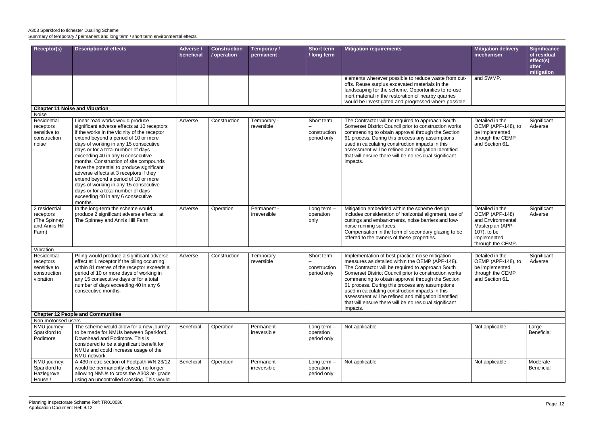|          | <b>Mitigation delivery</b><br>mechanism                                                                                       | <b>Significance</b><br>of residual<br>effect(s) |
|----------|-------------------------------------------------------------------------------------------------------------------------------|-------------------------------------------------|
|          |                                                                                                                               | after<br>mitigation                             |
| cut-     | and SWMP.                                                                                                                     |                                                 |
| sе       |                                                                                                                               |                                                 |
| ible.    |                                                                                                                               |                                                 |
|          |                                                                                                                               |                                                 |
| ٢S<br>n  | Detailed in the<br>OEMP (APP-148), to<br>be implemented<br>through the CEMP<br>and Section 61.                                | Significant<br>Adverse                          |
| of<br>be | Detailed in the<br>OEMP (APP-148)<br>and Environmental<br>Masterplan (APP-<br>107), to be<br>implemented<br>through the CEMP. | Significant<br>Adverse                          |
|          | Detailed in the                                                                                                               | Significant                                     |
| ۲S<br>n  | OEMP (APP-148), to<br>be implemented<br>through the CEMP<br>and Section 61.                                                   | Adverse                                         |
|          |                                                                                                                               |                                                 |
|          | Not applicable                                                                                                                | Large<br><b>Beneficial</b>                      |
|          | Not applicable                                                                                                                | Moderate<br><b>Beneficial</b>                   |
|          |                                                                                                                               |                                                 |

| <b>Receptor(s)</b>                                                    | <b>Description of effects</b>                                                                                                                                                                                                                                                                                                                                                                                                                                                                                                                                                                      | Adverse /<br>beneficial | <b>Construction</b><br>/ operation | Temporary /<br>permanent    | <b>Short term</b><br>/ long term          | <b>Mitigation requirements</b>                                                                                                                                                                                                                                                                                                                                                                                                                                                                              | <b>Mitigation delivery</b><br>mechanism                                                                                       | <b>Significa</b><br>of residu<br>effect(s)<br>after<br>mitigatio |
|-----------------------------------------------------------------------|----------------------------------------------------------------------------------------------------------------------------------------------------------------------------------------------------------------------------------------------------------------------------------------------------------------------------------------------------------------------------------------------------------------------------------------------------------------------------------------------------------------------------------------------------------------------------------------------------|-------------------------|------------------------------------|-----------------------------|-------------------------------------------|-------------------------------------------------------------------------------------------------------------------------------------------------------------------------------------------------------------------------------------------------------------------------------------------------------------------------------------------------------------------------------------------------------------------------------------------------------------------------------------------------------------|-------------------------------------------------------------------------------------------------------------------------------|------------------------------------------------------------------|
|                                                                       |                                                                                                                                                                                                                                                                                                                                                                                                                                                                                                                                                                                                    |                         |                                    |                             |                                           | elements wherever possible to reduce waste from cut-<br>offs. Reuse surplus excavated materials in the<br>landscaping for the scheme. Opportunities to re-use<br>inert material in the restoration of nearby quarries<br>would be investigated and progressed where possible.                                                                                                                                                                                                                               | and SWMP.                                                                                                                     |                                                                  |
|                                                                       | <b>Chapter 11 Noise and Vibration</b>                                                                                                                                                                                                                                                                                                                                                                                                                                                                                                                                                              |                         |                                    |                             |                                           |                                                                                                                                                                                                                                                                                                                                                                                                                                                                                                             |                                                                                                                               |                                                                  |
| Noise                                                                 |                                                                                                                                                                                                                                                                                                                                                                                                                                                                                                                                                                                                    |                         |                                    |                             |                                           |                                                                                                                                                                                                                                                                                                                                                                                                                                                                                                             |                                                                                                                               |                                                                  |
| Residential<br>receptors<br>sensitive to<br>construction<br>noise     | Linear road works would produce<br>significant adverse effects at 10 receptors<br>if the works in the vicinity of the receptor<br>extend beyond a period of 10 or more<br>days of working in any 15 consecutive<br>days or for a total number of days<br>exceeding 40 in any 6 consecutive<br>months. Construction of site compounds<br>have the potential to produce significant<br>adverse effects at 3 receptors if they<br>extend beyond a period of 10 or more<br>days of working in any 15 consecutive<br>days or for a total number of days<br>exceeding 40 in any 6 consecutive<br>months. | Adverse                 | Construction                       | Temporary -<br>reversible   | Short term<br>construction<br>period only | The Contractor will be required to approach South<br>Somerset District Council prior to construction works<br>commencing to obtain approval through the Section<br>61 process. During this process any assumptions<br>used in calculating construction impacts in this<br>assessment will be refined and mitigation identified<br>that will ensure there will be no residual significant<br>impacts.                                                                                                        | Detailed in the<br>OEMP (APP-148), to<br>be implemented<br>through the CEMP<br>and Section 61.                                | Significar<br>Adverse                                            |
| 2 residential<br>receptors<br>(The Spinney<br>and Annis Hill<br>Farm) | In the long-term the scheme would<br>produce 2 significant adverse effects, at<br>The Spinney and Annis Hill Farm.                                                                                                                                                                                                                                                                                                                                                                                                                                                                                 | Adverse                 | Operation                          | Permanent -<br>irreversible | Long term $-$<br>operation<br>only        | Mitigation embedded within the scheme design<br>includes consideration of horizontal alignment, use of<br>cuttings and embankments, noise barriers and low-<br>noise running surfaces.<br>Compensation in the form of secondary glazing to be<br>offered to the owners of these properties.                                                                                                                                                                                                                 | Detailed in the<br>OEMP (APP-148)<br>and Environmental<br>Masterplan (APP-<br>107), to be<br>implemented<br>through the CEMP. | Significar<br>Adverse                                            |
| Vibration                                                             |                                                                                                                                                                                                                                                                                                                                                                                                                                                                                                                                                                                                    |                         |                                    |                             |                                           |                                                                                                                                                                                                                                                                                                                                                                                                                                                                                                             |                                                                                                                               |                                                                  |
| Residential<br>receptors<br>sensitive to<br>construction<br>vibration | Piling would produce a significant adverse<br>effect at 1 receptor if the piling occurring<br>within 81 metres of the receptor exceeds a<br>period of 10 or more days of working in<br>any 15 consecutive days or for a total<br>number of days exceeding 40 in any 6<br>consecutive months.                                                                                                                                                                                                                                                                                                       | Adverse                 | Construction                       | Temporary -<br>reversible   | Short term<br>construction<br>period only | Implementation of best practice noise mitigation<br>measures as detailed within the OEMP (APP-148).<br>The Contractor will be required to approach South<br>Somerset District Council prior to construction works<br>commencing to obtain approval through the Section<br>61 process. During this process any assumptions<br>used in calculating construction impacts in this<br>assessment will be refined and mitigation identified<br>that will ensure there will be no residual significant<br>impacts. | Detailed in the<br>OEMP (APP-148), to<br>be implemented<br>through the CEMP<br>and Section 61.                                | Significar<br>Adverse                                            |
|                                                                       | <b>Chapter 12 People and Communities</b>                                                                                                                                                                                                                                                                                                                                                                                                                                                                                                                                                           |                         |                                    |                             |                                           |                                                                                                                                                                                                                                                                                                                                                                                                                                                                                                             |                                                                                                                               |                                                                  |
| Non-motorised users                                                   |                                                                                                                                                                                                                                                                                                                                                                                                                                                                                                                                                                                                    |                         |                                    |                             |                                           |                                                                                                                                                                                                                                                                                                                                                                                                                                                                                                             |                                                                                                                               |                                                                  |
| NMU journey:<br>Sparkford to<br>Podimore                              | The scheme would allow for a new journey<br>to be made for NMUs between Sparkford,<br>Downhead and Podimore. This is<br>considered to be a significant benefit for<br>NMUs and could increase usage of the<br>NMU network.                                                                                                                                                                                                                                                                                                                                                                         | Beneficial              | Operation                          | Permanent -<br>irreversible | Long term $-$<br>operation<br>period only | Not applicable                                                                                                                                                                                                                                                                                                                                                                                                                                                                                              | Not applicable                                                                                                                | Large<br><b>Beneficial</b>                                       |
| NMU journey:<br>Sparkford to<br>Hazlegrove<br>House /                 | A 430 metre section of Footpath WN 23/12<br>would be permanently closed, no longer<br>allowing NMUs to cross the A303 at-grade<br>using an uncontrolled crossing. This would                                                                                                                                                                                                                                                                                                                                                                                                                       | Beneficial              | Operation                          | Permanent -<br>irreversible | Long term $-$<br>operation<br>period only | Not applicable                                                                                                                                                                                                                                                                                                                                                                                                                                                                                              | Not applicable                                                                                                                | Moderate<br><b>Beneficial</b>                                    |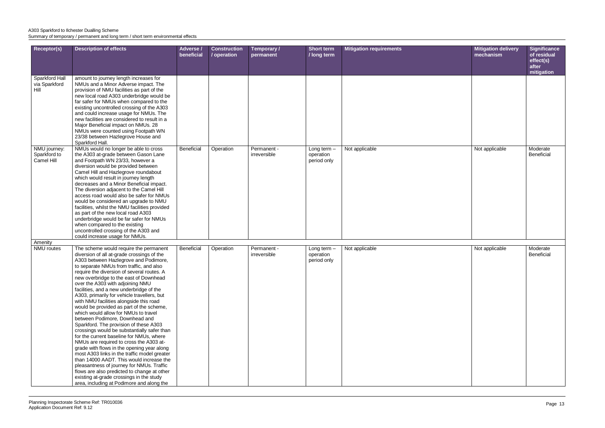| Mitigation delivery<br>mechanism | Significance<br>of residual<br>effect(s)<br>after<br>mitigation |
|----------------------------------|-----------------------------------------------------------------|
|                                  |                                                                 |
| Not applicable                   | Moderate<br>Beneficial                                          |
|                                  |                                                                 |
| Not applicable                   | Moderate<br>Beneficial                                          |

| Receptor(s)                                | <b>Description of effects</b>                                                                                                                                                                                                                                                                                                                                                                                                                                                                                                                                                                                                                                                                                                                                                                                                                                                                                                                                                                                                                                                   | Adverse /<br>beneficial | <b>Construction</b><br>/ operation | Temporary /<br>permanent    | <b>Short term</b><br>/ long term          | <b>Mitigation requirements</b> | <b>Mitigation delivery</b><br>mechanism | <b>Significa</b><br>of residu<br>effect(s)<br>after<br>mitigatio |
|--------------------------------------------|---------------------------------------------------------------------------------------------------------------------------------------------------------------------------------------------------------------------------------------------------------------------------------------------------------------------------------------------------------------------------------------------------------------------------------------------------------------------------------------------------------------------------------------------------------------------------------------------------------------------------------------------------------------------------------------------------------------------------------------------------------------------------------------------------------------------------------------------------------------------------------------------------------------------------------------------------------------------------------------------------------------------------------------------------------------------------------|-------------------------|------------------------------------|-----------------------------|-------------------------------------------|--------------------------------|-----------------------------------------|------------------------------------------------------------------|
| Sparkford Hall<br>via Sparkford<br>Hill    | amount to journey length increases for<br>NMUs and a Minor Adverse impact. The<br>provision of NMU facilities as part of the<br>new local road A303 underbridge would be<br>far safer for NMUs when compared to the<br>existing uncontrolled crossing of the A303<br>and could increase usage for NMUs. The<br>new facilities are considered to result in a<br>Major Beneficial impact on NMUs. 28<br>NMUs were counted using Footpath WN<br>23/38 between Hazlegrove House and<br>Sparkford Hall.                                                                                                                                                                                                                                                                                                                                                                                                                                                                                                                                                                              |                         |                                    |                             |                                           |                                |                                         |                                                                  |
| NMU journey:<br>Sparkford to<br>Camel Hill | NMUs would no longer be able to cross<br>the A303 at-grade between Gason Lane<br>and Footpath WN 23/33, however a<br>diversion would be provided between<br>Camel Hill and Hazlegrove roundabout<br>which would result in journey length<br>decreases and a Minor Beneficial impact.<br>The diversion adjacent to the Camel Hill<br>access road would also be safer for NMUs<br>would be considered an upgrade to NMU<br>facilities, whilst the NMU facilities provided<br>as part of the new local road A303<br>underbridge would be far safer for NMUs<br>when compared to the existing<br>uncontrolled crossing of the A303 and<br>could increase usage for NMUs.                                                                                                                                                                                                                                                                                                                                                                                                            | Beneficial              | Operation                          | Permanent -<br>irreversible | Long term $-$<br>operation<br>period only | Not applicable                 | Not applicable                          | Moderate<br><b>Beneficial</b>                                    |
| Amenity                                    |                                                                                                                                                                                                                                                                                                                                                                                                                                                                                                                                                                                                                                                                                                                                                                                                                                                                                                                                                                                                                                                                                 |                         |                                    |                             |                                           |                                |                                         |                                                                  |
| <b>NMU</b> routes                          | The scheme would require the permanent<br>diversion of all at-grade crossings of the<br>A303 between Hazlegrove and Podimore,<br>to separate NMUs from traffic, and also<br>require the diversion of several routes. A<br>new overbridge to the east of Downhead<br>over the A303 with adjoining NMU<br>facilities, and a new underbridge of the<br>A303, primarily for vehicle travellers, but<br>with NMU facilities alongside this road<br>would be provided as part of the scheme,<br>which would allow for NMUs to travel<br>between Podimore, Downhead and<br>Sparkford. The provision of these A303<br>crossings would be substantially safer than<br>for the current baseline for NMUs, where<br>NMUs are required to cross the A303 at-<br>grade with flows in the opening year along<br>most A303 links in the traffic model greater<br>than 14000 AADT. This would increase the<br>pleasantness of journey for NMUs. Traffic<br>flows are also predicted to change at other<br>existing at-grade crossings in the study<br>area, including at Podimore and along the | Beneficial              | Operation                          | Permanent -<br>irreversible | Long term $-$<br>operation<br>period only | Not applicable                 | Not applicable                          | Moderate<br><b>Beneficial</b>                                    |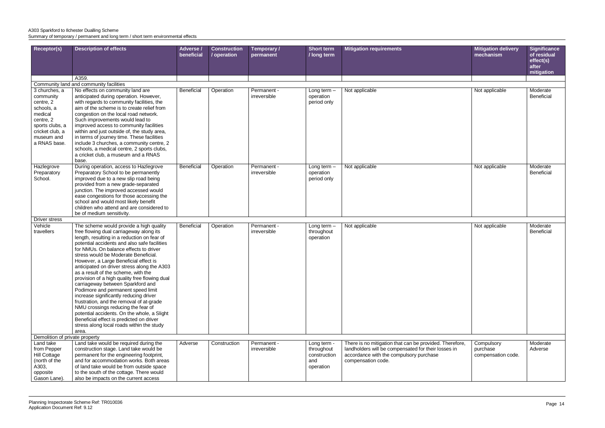| <b>Receptor(s)</b>                                                                                                                                | <b>Description of effects</b>                                                                                                                                                                                                                                                                                                                                                                                                                                                                                                                                                                                                                                                                                                                                                                               | Adverse /<br>beneficial | <b>Construction</b><br>/ operation | Temporary /<br>permanent    | <b>Short term</b><br>/ long term                              | <b>Mitigation requirements</b>                                                                                                                                                  | <b>Mitigation delivery</b><br>mechanism      | <b>Significar</b><br>of residua<br>effect(s)<br>after |
|---------------------------------------------------------------------------------------------------------------------------------------------------|-------------------------------------------------------------------------------------------------------------------------------------------------------------------------------------------------------------------------------------------------------------------------------------------------------------------------------------------------------------------------------------------------------------------------------------------------------------------------------------------------------------------------------------------------------------------------------------------------------------------------------------------------------------------------------------------------------------------------------------------------------------------------------------------------------------|-------------------------|------------------------------------|-----------------------------|---------------------------------------------------------------|---------------------------------------------------------------------------------------------------------------------------------------------------------------------------------|----------------------------------------------|-------------------------------------------------------|
|                                                                                                                                                   | A359.                                                                                                                                                                                                                                                                                                                                                                                                                                                                                                                                                                                                                                                                                                                                                                                                       |                         |                                    |                             |                                                               |                                                                                                                                                                                 |                                              | mitigation                                            |
|                                                                                                                                                   | Community land and community facilities                                                                                                                                                                                                                                                                                                                                                                                                                                                                                                                                                                                                                                                                                                                                                                     |                         |                                    |                             |                                                               |                                                                                                                                                                                 |                                              |                                                       |
| 3 churches, a<br>community<br>centre, 2<br>schools, a<br>medical<br>centre, 2<br>sports clubs, a<br>cricket club, a<br>museum and<br>a RNAS base. | No effects on community land are<br>anticipated during operation. However,<br>with regards to community facilities, the<br>aim of the scheme is to create relief from<br>congestion on the local road network.<br>Such improvements would lead to<br>improved access to community facilities<br>within and just outside of, the study area,<br>in terms of journey time. These facilities<br>include 3 churches, a community centre, 2<br>schools, a medical centre, 2 sports clubs,<br>a cricket club, a museum and a RNAS<br>base.                                                                                                                                                                                                                                                                        | Beneficial              | Operation                          | Permanent -<br>irreversible | Long term $-$<br>operation<br>period only                     | Not applicable                                                                                                                                                                  | Not applicable                               | Moderate<br>Beneficial                                |
| Hazlegrove<br>Preparatory<br>School.                                                                                                              | During operation, access to Hazlegrove<br>Preparatory School to be permanently<br>improved due to a new slip road being<br>provided from a new grade-separated<br>junction. The improved accessed would<br>ease congestions for those accessing the<br>school and would most likely benefit<br>children who attend and are considered to<br>be of medium sensitivity.                                                                                                                                                                                                                                                                                                                                                                                                                                       | Beneficial              | Operation                          | Permanent -<br>irreversible | Long term $-$<br>operation<br>period only                     | Not applicable                                                                                                                                                                  | Not applicable                               | Moderate<br>Beneficial                                |
| Driver stress                                                                                                                                     |                                                                                                                                                                                                                                                                                                                                                                                                                                                                                                                                                                                                                                                                                                                                                                                                             |                         |                                    |                             |                                                               |                                                                                                                                                                                 |                                              |                                                       |
| Vehicle<br>travellers                                                                                                                             | The scheme would provide a high quality<br>free flowing dual carriageway along its<br>length, resulting in a reduction on fear of<br>potential accidents and also safe facilities<br>for NMUs. On balance effects to driver<br>stress would be Moderate Beneficial.<br>However, a Large Beneficial effect is<br>anticipated on driver stress along the A303<br>as a result of the scheme, with the<br>provision of a high quality free flowing dual<br>carriageway between Sparkford and<br>Podimore and permanent speed limit<br>increase significantly reducing driver<br>frustration, and the removal of at-grade<br>NMU crossings reducing the fear of<br>potential accidents. On the whole, a Slight<br>Beneficial effect is predicted on driver<br>stress along local roads within the study<br>area. | Beneficial              | Operation                          | Permanent -<br>irreversible | Long term $-$<br>throughout<br>operation                      | Not applicable                                                                                                                                                                  | Not applicable                               | Moderate<br><b>Beneficial</b>                         |
| Demolition of private property                                                                                                                    |                                                                                                                                                                                                                                                                                                                                                                                                                                                                                                                                                                                                                                                                                                                                                                                                             |                         |                                    |                             |                                                               |                                                                                                                                                                                 |                                              |                                                       |
| Land take<br>from Pepper<br><b>Hill Cottage</b><br>(north of the<br>A303,<br>opposite<br>Gason Lane).                                             | Land take would be required during the<br>construction stage. Land take would be<br>permanent for the engineering footprint,<br>and for accommodation works. Both areas<br>of land take would be from outside space<br>to the south of the cottage. There would<br>also be impacts on the current access                                                                                                                                                                                                                                                                                                                                                                                                                                                                                                    | Adverse                 | Construction                       | Permanent -<br>irreversible | Long term -<br>throughout<br>construction<br>and<br>operation | There is no mitigation that can be provided. Therefore,<br>landholders will be compensated for their losses in<br>accordance with the compulsory purchase<br>compensation code. | Compulsory<br>purchase<br>compensation code. | Moderate<br>Adverse                                   |

|      | <b>Mitigation delivery</b>     | <b>Significance</b>               |
|------|--------------------------------|-----------------------------------|
|      | mechanism                      | of residual<br>effect(s)<br>after |
|      |                                | mitigation                        |
|      | Not applicable                 | Moderate                          |
|      |                                | <b>Beneficial</b>                 |
|      | Not applicable                 | Moderate<br><b>Beneficial</b>     |
|      |                                |                                   |
|      | Not applicable                 | Moderate<br><b>Beneficial</b>     |
| ore, | Compulsory                     | Moderate                          |
|      | purchase<br>compensation code. | Adverse                           |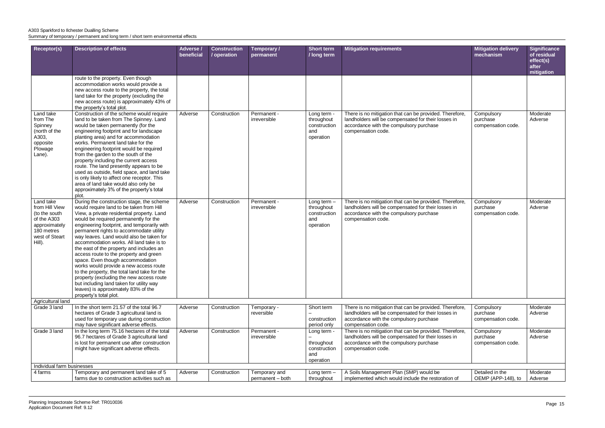| <b>Receptor(s)</b>                                                                                                     | <b>Description of effects</b>                                                                                                                                                                                                                                                                                                                                                                                                                                                                                                                                                                                                                                                                                                               | Adverse /<br>beneficial | <b>Construction</b><br>/ operation | Temporary /<br>permanent          | <b>Short term</b><br>/ long term                                | <b>Mitigation requirements</b>                                                                                                                                                  | <b>Mitigation delivery</b><br>mechanism      |
|------------------------------------------------------------------------------------------------------------------------|---------------------------------------------------------------------------------------------------------------------------------------------------------------------------------------------------------------------------------------------------------------------------------------------------------------------------------------------------------------------------------------------------------------------------------------------------------------------------------------------------------------------------------------------------------------------------------------------------------------------------------------------------------------------------------------------------------------------------------------------|-------------------------|------------------------------------|-----------------------------------|-----------------------------------------------------------------|---------------------------------------------------------------------------------------------------------------------------------------------------------------------------------|----------------------------------------------|
|                                                                                                                        |                                                                                                                                                                                                                                                                                                                                                                                                                                                                                                                                                                                                                                                                                                                                             |                         |                                    |                                   |                                                                 |                                                                                                                                                                                 |                                              |
|                                                                                                                        | route to the property. Even though<br>accommodation works would provide a<br>new access route to the property, the total<br>land take for the property (excluding the<br>new access route) is approximately 43% of<br>the property's total plot.                                                                                                                                                                                                                                                                                                                                                                                                                                                                                            |                         |                                    |                                   |                                                                 |                                                                                                                                                                                 |                                              |
| Land take<br>from The<br>Spinney<br>(north of the<br>A303,<br>opposite<br>Plowage<br>Lane).                            | Construction of the scheme would require<br>land to be taken from The Spinney. Land<br>would be taken permanently (for the<br>engineering footprint and for landscape<br>planting area) and for accommodation<br>works. Permanent land take for the<br>engineering footprint would be required<br>from the garden to the south of the<br>property including the current access<br>route. The land presently appears to be<br>used as outside, field space, and land take<br>is only likely to affect one receptor. This<br>area of land take would also only be<br>approximately 3% of the property's total<br>plot.                                                                                                                        | Adverse                 | Construction                       | Permanent -<br>irreversible       | Long term -<br>throughout<br>construction<br>and<br>operation   | There is no mitigation that can be provided. Therefore,<br>landholders will be compensated for their losses in<br>accordance with the compulsory purchase<br>compensation code. | Compulsory<br>purchase<br>compensation code. |
| Land take<br>from Hill View<br>(to the south<br>of the A303<br>approximately<br>180 metres<br>west of Steart<br>Hill). | During the construction stage, the scheme<br>would require land to be taken from Hill<br>View, a private residential property. Land<br>would be required permanently for the<br>engineering footprint, and temporarily with<br>permanent rights to accommodate utility<br>way leaves. Land would also be taken for<br>accommodation works. All land take is to<br>the east of the property and includes an<br>access route to the property and green<br>space. Even though accommodation<br>works would provide a new access route<br>to the property, the total land take for the<br>property (excluding the new access route<br>but including land taken for utility way<br>leaves) is approximately 83% of the<br>property's total plot. | Adverse                 | Construction                       | Permanent -<br>irreversible       | Long term $-$<br>throughout<br>construction<br>and<br>operation | There is no mitigation that can be provided. Therefore,<br>landholders will be compensated for their losses in<br>accordance with the compulsory purchase<br>compensation code. | Compulsory<br>purchase<br>compensation code. |
| Agricultural land                                                                                                      |                                                                                                                                                                                                                                                                                                                                                                                                                                                                                                                                                                                                                                                                                                                                             |                         |                                    |                                   |                                                                 |                                                                                                                                                                                 |                                              |
| Grade 3 land                                                                                                           | In the short term 21.57 of the total 96.7<br>hectares of Grade 3 agricultural land is<br>used for temporary use during construction<br>may have significant adverse effects.                                                                                                                                                                                                                                                                                                                                                                                                                                                                                                                                                                | Adverse                 | Construction                       | Temporary -<br>reversible         | Short term<br>construction<br>period only                       | There is no mitigation that can be provided. Therefore,<br>landholders will be compensated for their losses in<br>accordance with the compulsory purchase<br>compensation code. | Compulsory<br>purchase<br>compensation code. |
| Grade 3 land                                                                                                           | In the long term 75.16 hectares of the total<br>96.7 hectares of Grade 3 agricultural land<br>is lost for permanent use after construction<br>might have significant adverse effects.                                                                                                                                                                                                                                                                                                                                                                                                                                                                                                                                                       | Adverse                 | Construction                       | Permanent -<br>irreversible       | Long term -<br>throughout<br>construction<br>and<br>operation   | There is no mitigation that can be provided. Therefore,<br>landholders will be compensated for their losses in<br>accordance with the compulsory purchase<br>compensation code. | Compulsory<br>purchase<br>compensation code. |
| Individual farm businesses                                                                                             |                                                                                                                                                                                                                                                                                                                                                                                                                                                                                                                                                                                                                                                                                                                                             |                         |                                    |                                   |                                                                 |                                                                                                                                                                                 |                                              |
| 4 farms                                                                                                                | Temporary and permanent land take of 5<br>farms due to construction activities such as                                                                                                                                                                                                                                                                                                                                                                                                                                                                                                                                                                                                                                                      | Adverse                 | Construction                       | Temporary and<br>permanent - both | Long term $-$<br>throughout                                     | A Soils Management Plan (SMP) would be<br>implemented which would include the restoration of                                                                                    | Detailed in the<br>OEMP (APP-148), to        |

|      | <b>Mitigation delivery</b><br>mechanism      | <b>Significance</b><br>of residual<br>effect(s)<br>after<br>mitigation |
|------|----------------------------------------------|------------------------------------------------------------------------|
|      |                                              |                                                                        |
| ore, | Compulsory<br>purchase<br>compensation code. | Moderate<br>Adverse                                                    |
| ore, | Compulsory<br>purchase<br>compensation code. | Moderate<br>Adverse                                                    |
| ore, | Compulsory<br>purchase<br>compensation code. | Moderate<br>Adverse                                                    |
| ore, | Compulsory<br>purchase<br>compensation code. | Moderate<br>Adverse                                                    |
| f    | Detailed in the<br>OEMP (APP-148), to        | Moderate<br>Adverse                                                    |